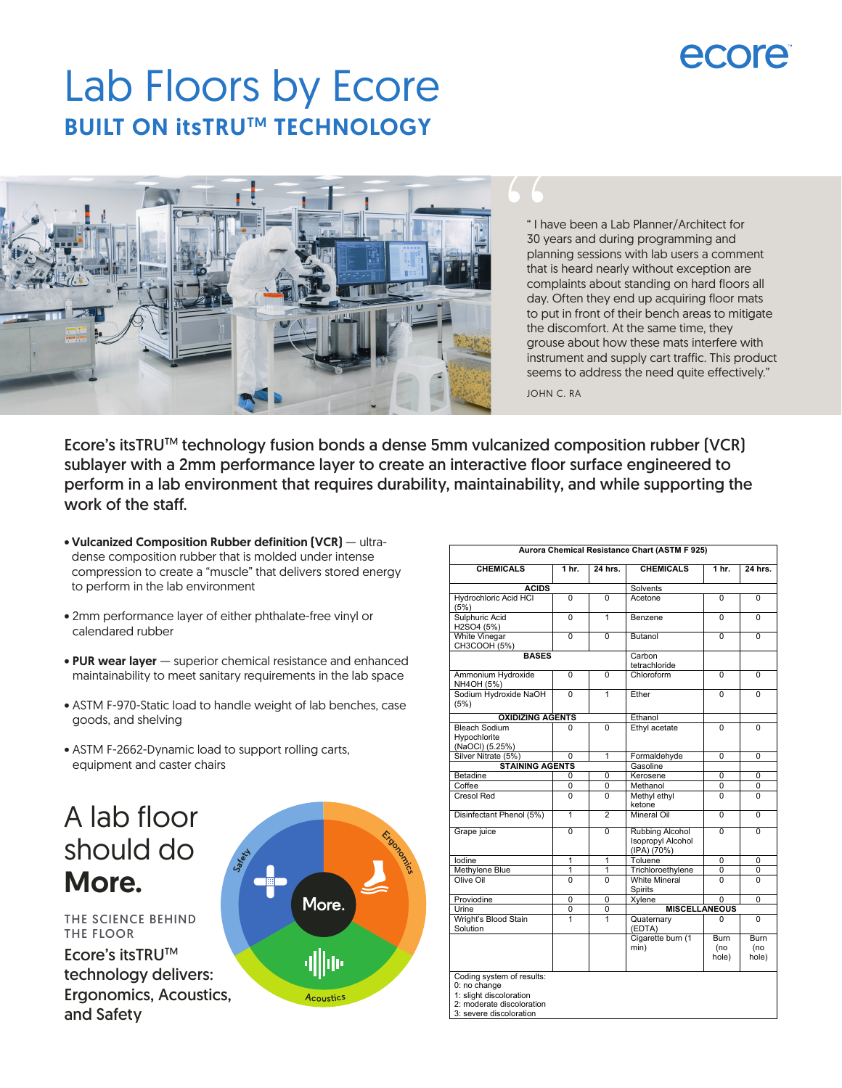# Lab Floors by Ecore **BUILT ON itsTRU™ TECHNOLOGY**



" I have been a Lab Planner/Architect for 30 years and during programming and planning sessions with lab users a comment that is heard nearly without exception are complaints about standing on hard floors all day. Often they end up acquiring floor mats to put in front of their bench areas to mitigate the discomfort. At the same time, they grouse about how these mats interfere with instrument and supply cart traffic. This product seems to address the need quite effectively."

JOHN C. RA

Ecore's itsTRUTM technology fusion bonds a dense 5mm vulcanized composition rubber (VCR) sublayer with a 2mm performance layer to create an interactive floor surface engineered to perform in a lab environment that requires durability, maintainability, and while supporting the work of the staff.

- Vulcanized Composition Rubber definition (VCR) ultradense composition rubber that is molded under intense compression to create a "muscle" that delivers stored energy to perform in the lab environment
- 2mm performance layer of either phthalate-free vinyl or calendared rubber
- PUR wear layer superior chemical resistance and enhanced maintainability to meet sanitary requirements in the lab space
- ASTM F-970-Static load to handle weight of lab benches, case goods, and shelving
- ASTM F-2662-Dynamic load to support rolling carts, equipment and caster chairs

## A lab floor should do More.

THE SCIENCE BEHIND THE FLOOR Ecore's itsTRUTM

technology delivers: Ergonomics, Acoustics, and Safety



| Aurora Chemical Resistance Chart (ASTM F 925)                                                                                |                  |                |                                                            |                      |                             |  |
|------------------------------------------------------------------------------------------------------------------------------|------------------|----------------|------------------------------------------------------------|----------------------|-----------------------------|--|
| <b>CHEMICALS</b>                                                                                                             | 1 <sub>hr.</sub> | 24 hrs.        | <b>CHEMICALS</b>                                           | 1 <sub>hr.</sub>     | 24 hrs.                     |  |
| <b>ACIDS</b>                                                                                                                 |                  |                | Solvents                                                   |                      |                             |  |
| Hydrochloric Acid HCI<br>(5%)                                                                                                | $\Omega$         | 0              | Acetone                                                    | $\Omega$             | $\Omega$                    |  |
| Sulphuric Acid<br>H2SO4 (5%)                                                                                                 | $\overline{0}$   | 1              | Benzene                                                    | $\Omega$             | $\Omega$                    |  |
| <b>White Vinegar</b><br>CH3COOH (5%)                                                                                         | $\Omega$         | 0              | Butanol                                                    | $\Omega$             | $\Omega$                    |  |
| <b>BASES</b>                                                                                                                 |                  |                | Carbon<br>tetrachloride                                    |                      |                             |  |
| Ammonium Hydroxide<br>NH4OH (5%)                                                                                             | $\Omega$         | 0              | Chloroform                                                 | $\Omega$             | 0                           |  |
| Sodium Hydroxide NaOH<br>(5%)                                                                                                | $\Omega$         | 1              | Ether                                                      | $\Omega$             | $\Omega$                    |  |
| <b>OXIDIZING AGENTS</b>                                                                                                      |                  |                | Ethanol                                                    |                      |                             |  |
| <b>Bleach Sodium</b><br>Hypochlorite<br>(NaOCI) (5.25%)                                                                      | 0                | 0              | Ethyl acetate                                              | $\Omega$             | $\Omega$                    |  |
| Silver Nitrate (5%)                                                                                                          | 0                | 1              | Formaldehyde                                               | 0                    | 0                           |  |
| <b>STAINING AGENTS</b>                                                                                                       |                  |                | Gasoline                                                   |                      |                             |  |
| Betadine                                                                                                                     | 0                | 0              | Kerosene                                                   | $\Omega$             | 0                           |  |
| Coffee                                                                                                                       | 0                | 0              | Methanol                                                   | 0                    | 0                           |  |
| Cresol Red                                                                                                                   | O                | 0              | Methyl ethyl<br>ketone                                     | $\Omega$             | $\Omega$                    |  |
| Disinfectant Phenol (5%)                                                                                                     | $\mathbf{1}$     | $\overline{a}$ | Mineral Oil                                                | $\Omega$             | 0                           |  |
| Grape juice                                                                                                                  | $\Omega$         | 0              | <b>Rubbing Alcohol</b><br>Isopropyl Alcohol<br>(IPA) (70%) | $\Omega$             | $\Omega$                    |  |
| lodine                                                                                                                       | 1                | 1              | Toluene                                                    | 0                    | 0                           |  |
| Methylene Blue                                                                                                               | 1                | 1              | Trichloroethylene                                          | 0                    | 0                           |  |
| Olive Oil                                                                                                                    | 0                | 0              | <b>White Mineral</b><br>Spirits                            | 0                    | 0                           |  |
| Proviodine                                                                                                                   | 0                | 0              | Xylene                                                     | 0                    | 0                           |  |
| Urine                                                                                                                        | $\overline{0}$   | 0              | <b>MISCELLANEOUS</b>                                       |                      |                             |  |
| Wright's Blood Stain<br>Solution                                                                                             | 1                | 1              | Quaternary<br>(EDTA)                                       | 0                    | 0                           |  |
|                                                                                                                              |                  |                | Cigarette burn (1<br>min)                                  | Burn<br>(no<br>hole) | <b>Burn</b><br>(no<br>hole) |  |
| Coding system of results:<br>0: no change<br>1: slight discoloration<br>2: moderate discoloration<br>3: severe discoloration |                  |                |                                                            |                      |                             |  |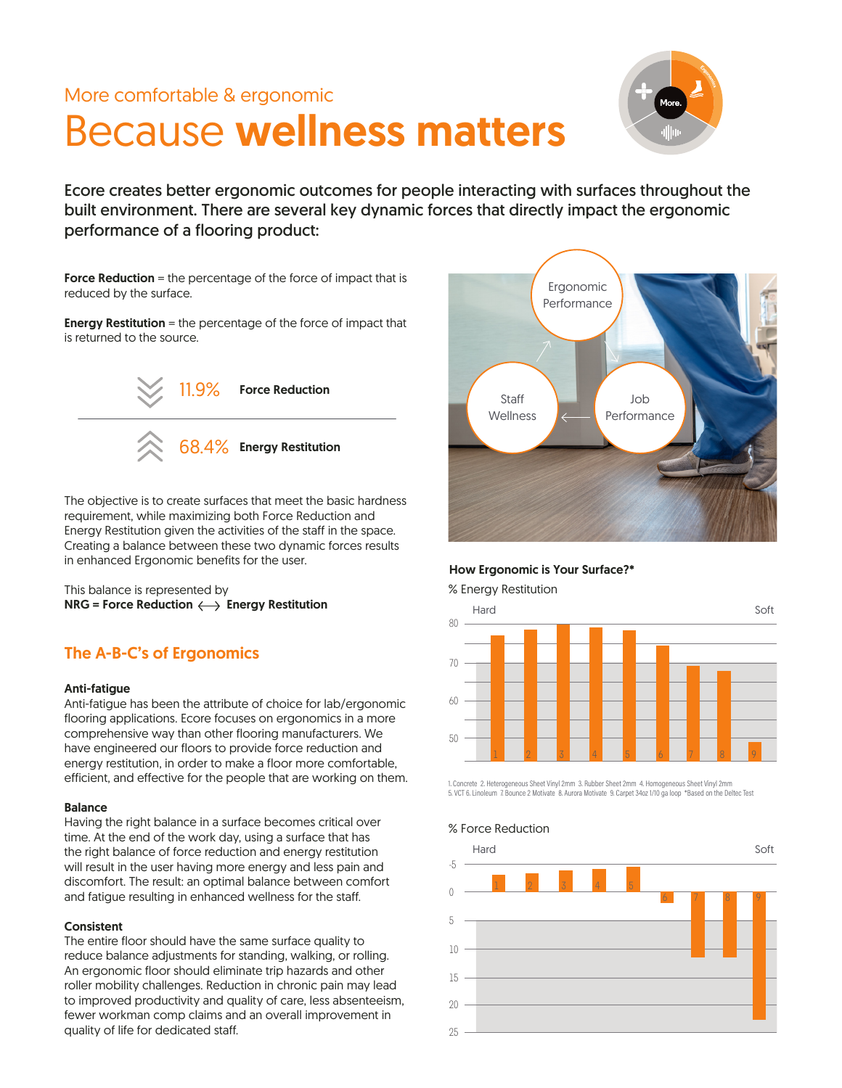## More comfortable & ergonomic

# Because wellness matters



Ecore creates better ergonomic outcomes for people interacting with surfaces throughout the built environment. There are several key dynamic forces that directly impact the ergonomic performance of a flooring product:

Force Reduction = the percentage of the force of impact that is reduced by the surface.

**Energy Restitution** = the percentage of the force of impact that is returned to the source.



The objective is to create surfaces that meet the basic hardness requirement, while maximizing both Force Reduction and Energy Restitution given the activities of the staff in the space. Creating a balance between these two dynamic forces results in enhanced Ergonomic benefits for the user.

This balance is represented by  $NRG = Force Reduction \longleftrightarrow Energy Restitution$ 

### The A-B-C's of Ergonomics

### Anti-fatigue

Anti-fatigue has been the attribute of choice for lab/ergonomic flooring applications. Ecore focuses on ergonomics in a more comprehensive way than other flooring manufacturers. We have engineered our floors to provide force reduction and energy restitution, in order to make a floor more comfortable, efficient, and effective for the people that are working on them.

### Balance

Having the right balance in a surface becomes critical over time. At the end of the work day, using a surface that has the right balance of force reduction and energy restitution will result in the user having more energy and less pain and discomfort. The result: an optimal balance between comfort and fatigue resulting in enhanced wellness for the staff.

### **Consistent**

The entire floor should have the same surface quality to reduce balance adjustments for standing, walking, or rolling. An ergonomic floor should eliminate trip hazards and other roller mobility challenges. Reduction in chronic pain may lead to improved productivity and quality of care, less absenteeism, fewer workman comp claims and an overall improvement in quality of life for dedicated staff.



How Ergonomic is Your Surface?\*

% Energy Restitution



1. Concrete 2. Heterogeneous Sheet Vinyl 2mm 3. Rubber Sheet 2mm 4. Homogeneous Sheet Vinyl 2mm 5. VCT 6. Linoleum 7. Bounce 2 Motivate 8. Aurora Motivate 9. Carpet 34oz 1/10 ga loop \*Based on the Deltec Test



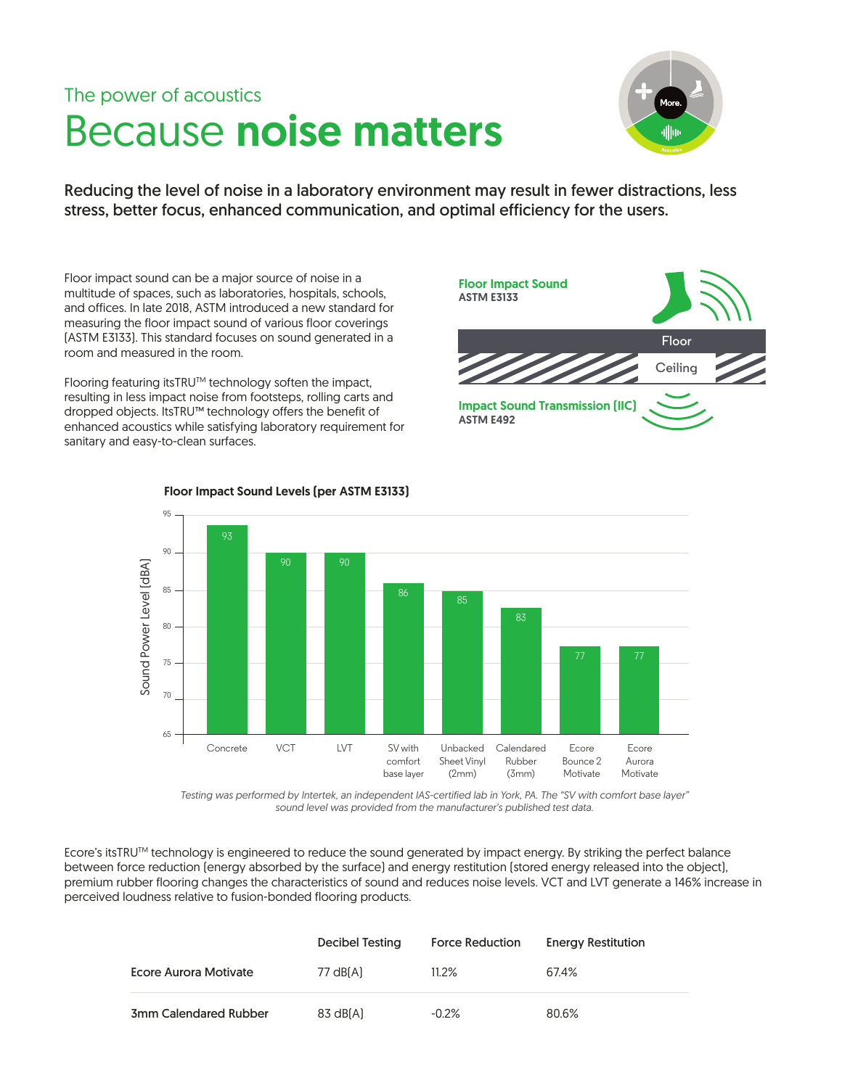# The power of acoustics Because noise matters



Reducing the level of noise in a laboratory environment may result in fewer distractions, less stress, better focus, enhanced communication, and optimal efficiency for the users.

Floor impact sound can be a major source of noise in a multitude of spaces, such as laboratories, hospitals, schools, and offices. In late 2018, ASTM introduced a new standard for measuring the floor impact sound of various floor coverings (ASTM E3133). This standard focuses on sound generated in a room and measured in the room.

Flooring featuring itsTRUTM technology soften the impact, resulting in less impact noise from footsteps, rolling carts and dropped objects. ItsTRU™ technology offers the benefit of enhanced acoustics while satisfying laboratory requirement for sanitary and easy-to-clean surfaces.





Floor Impact Sound Levels (per ASTM E3133)

*Testing was performed by Intertek, an independent IAS-certified lab in York, PA. The "SV with comfort base layer" sound level was provided from the manufacturer's published test data.*

Ecore's itsTRU™ technology is engineered to reduce the sound generated by impact energy. By striking the perfect balance between force reduction (energy absorbed by the surface) and energy restitution (stored energy released into the object), premium rubber flooring changes the characteristics of sound and reduces noise levels. VCT and LVT generate a 146% increase in perceived loudness relative to fusion-bonded flooring products.

|                       | Decibel Testing | <b>Force Reduction</b> | <b>Energy Restitution</b> |
|-----------------------|-----------------|------------------------|---------------------------|
| Ecore Aurora Motivate | 77 dB[A]        | $11.2\%$               | 67.4%                     |
| 3mm Calendared Rubber | 83 dB[A]        | $-0.2\%$               | 80.6%                     |